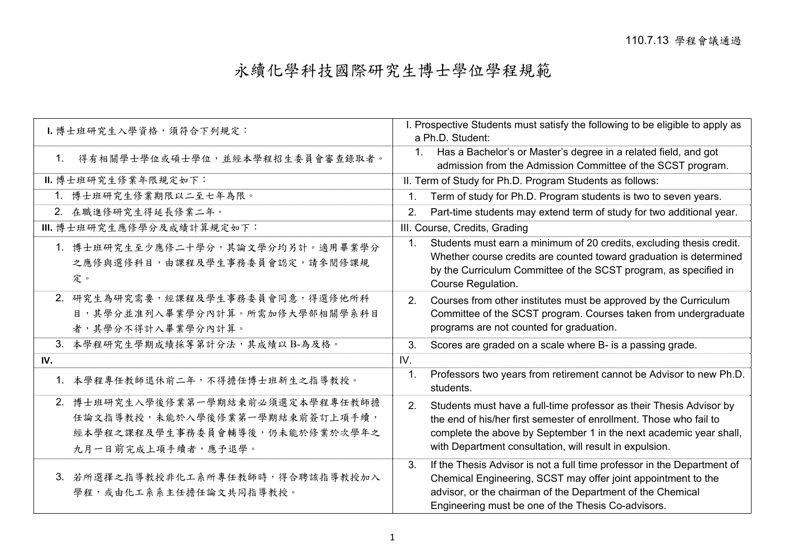## 永續化學科技國際研究生博士學位學程規範

| 1. 博士班研究生入學資格, 須符合下列規定:                                                                                                     | I. Prospective Students must satisfy the following to be eligible to apply as<br>a Ph.D. Student:                                                                                                                                                                                |
|-----------------------------------------------------------------------------------------------------------------------------|----------------------------------------------------------------------------------------------------------------------------------------------------------------------------------------------------------------------------------------------------------------------------------|
| 得有相關學士學位或碩士學位,並經本學程招生委員會審查錄取者。<br>$1_{\cdot}$                                                                               | Has a Bachelor's or Master's degree in a related field, and got<br>$1_{\cdot}$<br>admission from the Admission Committee of the SCST program.                                                                                                                                    |
| Ⅱ. 博士班研究生修業年限規定如下:                                                                                                          | II. Term of Study for Ph.D. Program Students as follows:                                                                                                                                                                                                                         |
| 1. 博士班研究生修業期限以二至七年為限。                                                                                                       | Term of study for Ph.D. Program students is two to seven years.<br>1.                                                                                                                                                                                                            |
| 2. 在職進修研究生得延長修業二年。                                                                                                          | 2.<br>Part-time students may extend term of study for two additional year.                                                                                                                                                                                                       |
| Ⅲ. 博士班研究生應修學分及成績計算規定如下:                                                                                                     | III. Course, Credits, Grading                                                                                                                                                                                                                                                    |
| 1. 博士班研究生至少應修二十學分,其論文學分均另計。適用畢業學分<br>之應修與選修科目,由課程及學生事務委員會認定,請參閱修課規<br>定。                                                    | Students must earn a minimum of 20 credits, excluding thesis credit.<br>1.<br>Whether course credits are counted toward graduation is determined<br>by the Curriculum Committee of the SCST program, as specified in<br>Course Regulation.                                       |
| 2. 研究生為研究需要,經課程及學生事務委員會同意,得選修他所科<br>目,其學分並准列入畢業學分內計算。所需加修大學部相關學系科目<br>者,其學分不得計入畢業學分內計算。                                     | 2.<br>Courses from other institutes must be approved by the Curriculum<br>Committee of the SCST program. Courses taken from undergraduate<br>programs are not counted for graduation.                                                                                            |
| 3. 本學程研究生學期成績採等第計分法,其成績以B-為及格。                                                                                              | 3.<br>Scores are graded on a scale where B- is a passing grade.                                                                                                                                                                                                                  |
| IV.                                                                                                                         | IV.                                                                                                                                                                                                                                                                              |
| 1. 本學程專任教師退休前二年,不得擔任博士班新生之指導教授。                                                                                             | Professors two years from retirement cannot be Advisor to new Ph.D.<br>1.<br>students.                                                                                                                                                                                           |
| 2. 博士班研究生入學後修業第一學期結束前必須選定本學程專任教師擔<br>任論文指導教授,未能於入學後修業第一學期結束前簽訂上項手續,<br>經本學程之課程及學生事務委員會輔導後,仍未能於修業於次學年之<br>九月一日前完成上項手續者,應予退學。 | Students must have a full-time professor as their Thesis Advisor by<br>2.<br>the end of his/her first semester of enrollment. Those who fail to<br>complete the above by September 1 in the next academic year shall,<br>with Department consultation, will result in expulsion. |
| 3. 若所選擇之指導教授非化工系所專任教師時,得合聘該指導教授加入<br>學程,或由化工系系主任擔任論文共同指導教授。                                                                 | 3.<br>If the Thesis Advisor is not a full time professor in the Department of<br>Chemical Engineering, SCST may offer joint appointment to the<br>advisor, or the chairman of the Department of the Chemical<br>Engineering must be one of the Thesis Co-advisors.               |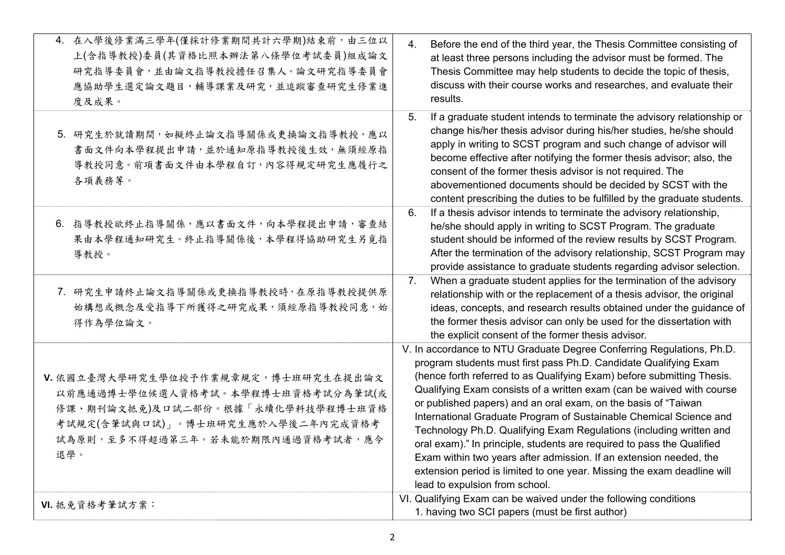| 4. 在入學後修業滿三學年(僅採計修業期間共計六學期)結束前,由三位以<br>上(含指導教授)委員(其資格比照本辦法第八條學位考試委員)組成論文<br>研究指導委員會,並由論文指導教授擔任召集人。論文研究指導委員會<br>應協助學生選定論文題目,輔導課業及研究,並追蹤審查研究生修業進<br>度及成果。                                       | Before the end of the third year, the Thesis Committee consisting of<br>$\overline{4}$ .<br>at least three persons including the advisor must be formed. The<br>Thesis Committee may help students to decide the topic of thesis,<br>discuss with their course works and researches, and evaluate their<br>results.                                                                                                                                                                                                                                                                                                                                                                                                                                                      |
|-----------------------------------------------------------------------------------------------------------------------------------------------------------------------------------------------|--------------------------------------------------------------------------------------------------------------------------------------------------------------------------------------------------------------------------------------------------------------------------------------------------------------------------------------------------------------------------------------------------------------------------------------------------------------------------------------------------------------------------------------------------------------------------------------------------------------------------------------------------------------------------------------------------------------------------------------------------------------------------|
| 5. 研究生於就讀期間,如擬終止論文指導關係或更換論文指導教授,應以<br>書面文件向本學程提出申請,並於通知原指導教授後生效,無須經原指<br>導教授同意。前項書面文件由本學程自訂,內容得規定研究生應履行之<br>各項義務等。                                                                            | 5.<br>If a graduate student intends to terminate the advisory relationship or<br>change his/her thesis advisor during his/her studies, he/she should<br>apply in writing to SCST program and such change of advisor will<br>become effective after notifying the former thesis advisor; also, the<br>consent of the former thesis advisor is not required. The<br>abovementioned documents should be decided by SCST with the<br>content prescribing the duties to be fulfilled by the graduate students.                                                                                                                                                                                                                                                                |
| 6. 指導教授欲終止指導關係,應以書面文件,向本學程提出申請,審查結<br>果由本學程通知研究生。終止指導關係後,本學程得協助研究生另覓指<br>導教授。                                                                                                                 | If a thesis advisor intends to terminate the advisory relationship,<br>6.<br>he/she should apply in writing to SCST Program. The graduate<br>student should be informed of the review results by SCST Program.<br>After the termination of the advisory relationship, SCST Program may<br>provide assistance to graduate students regarding advisor selection.                                                                                                                                                                                                                                                                                                                                                                                                           |
| 7. 研究生申請終止論文指導關係或更換指導教授時,在原指導教授提供原<br>始構想或概念及受指導下所獲得之研究成果,須經原指導教授同意,始<br>得作為學位論文。                                                                                                             | When a graduate student applies for the termination of the advisory<br>7 <sub>1</sub><br>relationship with or the replacement of a thesis advisor, the original<br>ideas, concepts, and research results obtained under the guidance of<br>the former thesis advisor can only be used for the dissertation with<br>the explicit consent of the former thesis advisor.                                                                                                                                                                                                                                                                                                                                                                                                    |
| V. 依國立臺灣大學研究生學位授予作業規章規定,博士班研究生在提出論文<br>以前應通過博士學位候選人資格考試。本學程博士班資格考試分為筆試(或<br>修課、期刊論文抵免)及口試二部份。根據「永續化學科技學程博士班資格<br>考試規定(含筆試與口試)」。博士班研究生應於入學後二年內完成資格考<br>試為原則,至多不得超過第三年。若未能於期限內通過資格考試者,應令<br>退學。 | V. In accordance to NTU Graduate Degree Conferring Regulations, Ph.D.<br>program students must first pass Ph.D. Candidate Qualifying Exam<br>(hence forth referred to as Qualifying Exam) before submitting Thesis.<br>Qualifying Exam consists of a written exam (can be waived with course<br>or published papers) and an oral exam, on the basis of "Taiwan<br>International Graduate Program of Sustainable Chemical Science and<br>Technology Ph.D. Qualifying Exam Regulations (including written and<br>oral exam)." In principle, students are required to pass the Qualified<br>Exam within two years after admission. If an extension needed, the<br>extension period is limited to one year. Missing the exam deadline will<br>lead to expulsion from school. |
| VI. 抵免資格考筆試方案:                                                                                                                                                                                | VI. Qualifying Exam can be waived under the following conditions<br>1. having two SCI papers (must be first author)                                                                                                                                                                                                                                                                                                                                                                                                                                                                                                                                                                                                                                                      |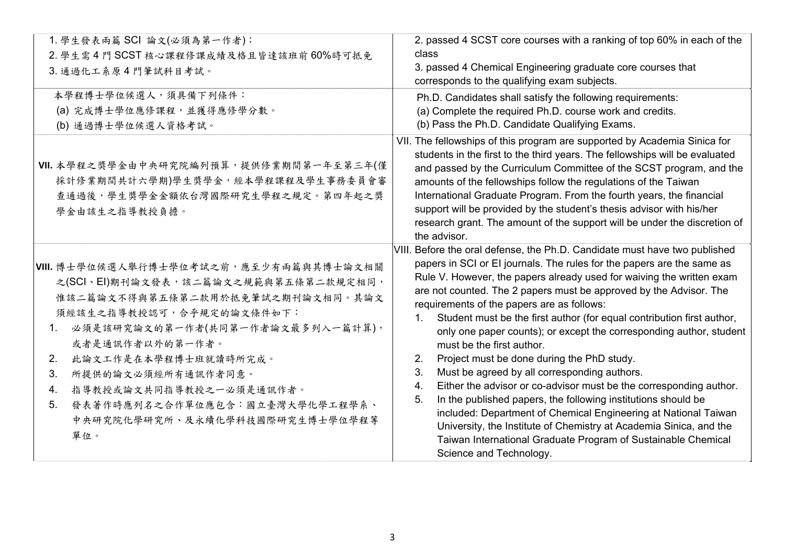| 1. 學生發表兩篇 SCI 論文(必須為第一作者);<br>2. 學生需4門 SCST 核心課程修課成績及格且皆達該班前 60%時可抵免<br>3. 通過化工系原4門筆試科目考試。                                                                                                                                                                                                                                                                                                       | 2. passed 4 SCST core courses with a ranking of top 60% in each of the<br>class<br>3. passed 4 Chemical Engineering graduate core courses that<br>corresponds to the qualifying exam subjects.                                                                                                                                                                                                                                                                                                                                                                                                                                                                                                                                                                                                                                                                                                                                                                                                                                                   |
|--------------------------------------------------------------------------------------------------------------------------------------------------------------------------------------------------------------------------------------------------------------------------------------------------------------------------------------------------------------------------------------------------|--------------------------------------------------------------------------------------------------------------------------------------------------------------------------------------------------------------------------------------------------------------------------------------------------------------------------------------------------------------------------------------------------------------------------------------------------------------------------------------------------------------------------------------------------------------------------------------------------------------------------------------------------------------------------------------------------------------------------------------------------------------------------------------------------------------------------------------------------------------------------------------------------------------------------------------------------------------------------------------------------------------------------------------------------|
| 本學程博士學位候選人,須具備下列條件:<br>(a) 完成博士學位應修課程,並獲得應修學分數。<br>(b) 通過博士學位候選人資格考試。                                                                                                                                                                                                                                                                                                                            | Ph.D. Candidates shall satisfy the following requirements:<br>(a) Complete the required Ph.D. course work and credits.<br>(b) Pass the Ph.D. Candidate Qualifying Exams.                                                                                                                                                                                                                                                                                                                                                                                                                                                                                                                                                                                                                                                                                                                                                                                                                                                                         |
| VII. 本學程之獎學金由中央研究院編列預算, 提供修業期間第一年至第三年(僅<br>採計修業期間共計六學期)學生獎學金,經本學程課程及學生事務委員會審<br>查通過後,學生獎學金金額依台灣國際研究生學程之規定。第四年起之獎<br>學金由該生之指導教授負擔。                                                                                                                                                                                                                                                                | VII. The fellowships of this program are supported by Academia Sinica for<br>students in the first to the third years. The fellowships will be evaluated<br>and passed by the Curriculum Committee of the SCST program, and the<br>amounts of the fellowships follow the regulations of the Taiwan<br>International Graduate Program. From the fourth years, the financial<br>support will be provided by the student's thesis advisor with his/her<br>research grant. The amount of the support will be under the discretion of<br>the advisor.                                                                                                                                                                                                                                                                                                                                                                                                                                                                                                 |
| VIII. 博士學位候選人舉行博士學位考試之前,應至少有兩篇與其博士論文相關<br>之(SCI、EI)期刊論文發表,該二篇論文之規範與第五條第二款規定相同,<br>惟該二篇論文不得與第五條第二款用於抵免筆試之期刊論文相同。其論文<br>須經該生之指導教授認可,合乎規定的論文條件如下:<br>必須是該研究論文的第一作者(共同第一作者論文最多列入一篇計算),<br>$1_{\cdot}$<br>或者是通訊作者以外的第一作者。<br>此論文工作是在本學程博士班就讀時所完成。<br>2.<br>3.<br>所提供的論文必須經所有通訊作者同意。<br>指導教授或論文共同指導教授之一必須是通訊作者。<br>4.<br>發表著作時應列名之合作單位應包含:國立臺灣大學化學工程學系、<br>5.<br>中央研究院化學研究所、及永續化學科技國際研究生博士學位學程等<br>單位。 | VIII. Before the oral defense, the Ph.D. Candidate must have two published<br>papers in SCI or EI journals. The rules for the papers are the same as<br>Rule V. However, the papers already used for waiving the written exam<br>are not counted. The 2 papers must be approved by the Advisor. The<br>requirements of the papers are as follows:<br>Student must be the first author (for equal contribution first author,<br>$1_{\cdot}$<br>only one paper counts); or except the corresponding author, student<br>must be the first author.<br>Project must be done during the PhD study.<br>2.<br>Must be agreed by all corresponding authors.<br>3.<br>Either the advisor or co-advisor must be the corresponding author.<br>4.<br>In the published papers, the following institutions should be<br>5.<br>included: Department of Chemical Engineering at National Taiwan<br>University, the Institute of Chemistry at Academia Sinica, and the<br>Taiwan International Graduate Program of Sustainable Chemical<br>Science and Technology. |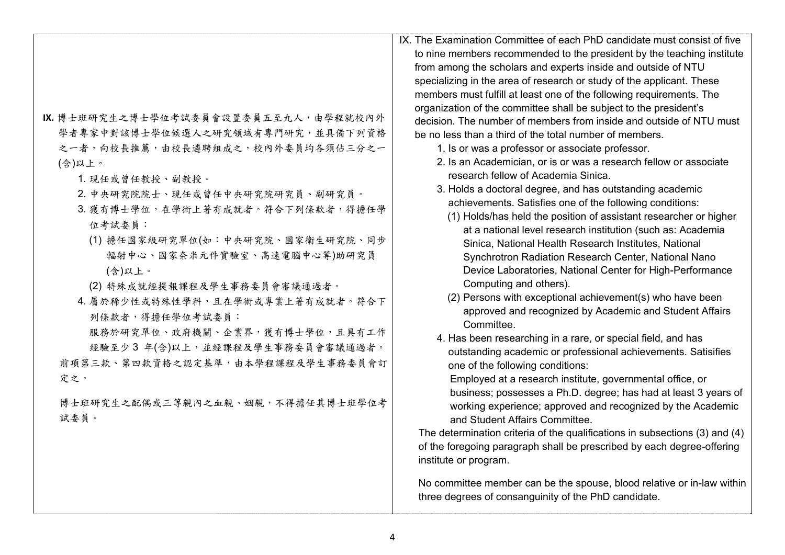| IX. 博士班研究生之博士學位考試委員會設置委員五至九人, 由學程就校內外<br>學者專家中對該博士學位候選人之研究領域有專門研究,並具備下列資格<br>之一者,向校長推薦,由校長遴聘組成之,校內外委員均各須佔三分之一<br>(含)以上。<br>1. 現任或曾任教授、副教授。<br>2. 中央研究院院士、現任或曾任中央研究院研究員、副研究員。<br>3. 獲有博士學位, 在學術上著有成就者。符合下列條款者, 得擔任學<br>位考試委員:<br>(1) 擔任國家級研究單位(如:中央研究院、國家衛生研究院、同步<br>輻射中心、國家奈米元件實驗室、高速電腦中心等)助研究員<br>(含)以上。<br>(2) 特殊成就經提報課程及學生事務委員會審議通過者。<br>4. 屬於稀少性或特殊性學科,且在學術或專業上著有成就者。符合下<br>列條款者,得擔任學位考試委員:<br>服務於研究單位、政府機關、企業界,獲有博士學位,且具有工作<br>經驗至少3年(含)以上,並經課程及學生事務委員會審議通過者。<br>前項第三款、第四款資格之認定基準,由本學程課程及學生事務委員會訂<br>定之。<br>博士班研究生之配偶或三等親內之血親、姻親,不得擔任其博士班學位考<br>試委員。 | IX. The Examination Committee of each PhD candidate must consist of five<br>to nine members recommended to the president by the teaching institute<br>from among the scholars and experts inside and outside of NTU<br>specializing in the area of research or study of the applicant. These<br>members must fulfill at least one of the following requirements. The<br>organization of the committee shall be subject to the president's<br>decision. The number of members from inside and outside of NTU must<br>be no less than a third of the total number of members.<br>1. Is or was a professor or associate professor.<br>2. Is an Academician, or is or was a research fellow or associate<br>research fellow of Academia Sinica.<br>3. Holds a doctoral degree, and has outstanding academic<br>achievements. Satisfies one of the following conditions:<br>(1) Holds/has held the position of assistant researcher or higher<br>at a national level research institution (such as: Academia<br>Sinica, National Health Research Institutes, National<br>Synchrotron Radiation Research Center, National Nano<br>Device Laboratories, National Center for High-Performance<br>Computing and others).<br>(2) Persons with exceptional achievement(s) who have been<br>approved and recognized by Academic and Student Affairs<br>Committee.<br>4. Has been researching in a rare, or special field, and has<br>outstanding academic or professional achievements. Satisifies<br>one of the following conditions:<br>Employed at a research institute, governmental office, or<br>business; possesses a Ph.D. degree; has had at least 3 years of<br>working experience; approved and recognized by the Academic<br>and Student Affairs Committee.<br>The determination criteria of the qualifications in subsections (3) and (4)<br>of the foregoing paragraph shall be prescribed by each degree-offering<br>institute or program.<br>No committee member can be the spouse, blood relative or in-law within<br>three degrees of consanguinity of the PhD candidate. |
|-----------------------------------------------------------------------------------------------------------------------------------------------------------------------------------------------------------------------------------------------------------------------------------------------------------------------------------------------------------------------------------------------------------------------------------------------------------------------------------------------------------------------------------------------------------|---------------------------------------------------------------------------------------------------------------------------------------------------------------------------------------------------------------------------------------------------------------------------------------------------------------------------------------------------------------------------------------------------------------------------------------------------------------------------------------------------------------------------------------------------------------------------------------------------------------------------------------------------------------------------------------------------------------------------------------------------------------------------------------------------------------------------------------------------------------------------------------------------------------------------------------------------------------------------------------------------------------------------------------------------------------------------------------------------------------------------------------------------------------------------------------------------------------------------------------------------------------------------------------------------------------------------------------------------------------------------------------------------------------------------------------------------------------------------------------------------------------------------------------------------------------------------------------------------------------------------------------------------------------------------------------------------------------------------------------------------------------------------------------------------------------------------------------------------------------------------------------------------------------------------------------------------------------------------------------------------------------------------------------------------------------------------------|
|-----------------------------------------------------------------------------------------------------------------------------------------------------------------------------------------------------------------------------------------------------------------------------------------------------------------------------------------------------------------------------------------------------------------------------------------------------------------------------------------------------------------------------------------------------------|---------------------------------------------------------------------------------------------------------------------------------------------------------------------------------------------------------------------------------------------------------------------------------------------------------------------------------------------------------------------------------------------------------------------------------------------------------------------------------------------------------------------------------------------------------------------------------------------------------------------------------------------------------------------------------------------------------------------------------------------------------------------------------------------------------------------------------------------------------------------------------------------------------------------------------------------------------------------------------------------------------------------------------------------------------------------------------------------------------------------------------------------------------------------------------------------------------------------------------------------------------------------------------------------------------------------------------------------------------------------------------------------------------------------------------------------------------------------------------------------------------------------------------------------------------------------------------------------------------------------------------------------------------------------------------------------------------------------------------------------------------------------------------------------------------------------------------------------------------------------------------------------------------------------------------------------------------------------------------------------------------------------------------------------------------------------------------|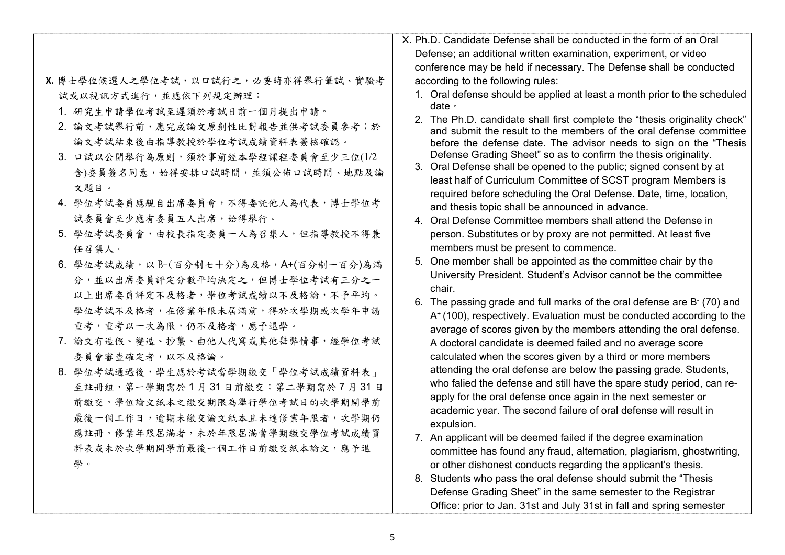|                                       | X. Ph.D. Candidate Defense shall be conducted in the form of an Oral                                                                             |
|---------------------------------------|--------------------------------------------------------------------------------------------------------------------------------------------------|
|                                       | Defense; an additional written examination, experiment, or video                                                                                 |
|                                       | conference may be held if necessary. The Defense shall be conducted                                                                              |
| X. 博士學位候選人之學位考試, 以口試行之, 必要時亦得舉行筆試、實驗考 | according to the following rules:                                                                                                                |
| 試或以視訊方式進行,並應依下列規定辦理:                  | 1. Oral defense should be applied at least a month prior to the scheduled                                                                        |
| 1. 研究生申請學位考試至遲須於考試日前一個月提出申請。          | date $\circ$                                                                                                                                     |
| 2. 論文考試舉行前,應完成論文原創性比對報告並供考試委員參考;於     | 2. The Ph.D. candidate shall first complete the "thesis originality check"<br>and submit the result to the members of the oral defense committee |
| 論文考試結束後由指導教授於學位考試成績資料表簽核確認。           | before the defense date. The advisor needs to sign on the "Thesis                                                                                |
| 3. 口試以公開舉行為原則,須於事前經本學程課程委員會至少三位(1/2   | Defense Grading Sheet" so as to confirm the thesis originality.                                                                                  |
| 含)委員簽名同意,始得安排口試時間,並須公佈口試時間、地點及論       | 3. Oral Defense shall be opened to the public; signed consent by at                                                                              |
| 文題目。                                  | least half of Curriculum Committee of SCST program Members is                                                                                    |
| 4. 學位考試委員應親自出席委員會,不得委託他人為代表,博士學位考     | required before scheduling the Oral Defense. Date, time, location,<br>and thesis topic shall be announced in advance.                            |
| 試委員會至少應有委員五人出席,始得舉行。                  | 4. Oral Defense Committee members shall attend the Defense in                                                                                    |
| 5. 學位考試委員會,由校長指定委員一人為召集人,但指導教授不得兼     | person. Substitutes or by proxy are not permitted. At least five                                                                                 |
| 任召集人。                                 | members must be present to commence.                                                                                                             |
| 6. 學位考試成績,以B-(百分制七十分)為及格,A+(百分制一百分)為滿 | 5. One member shall be appointed as the committee chair by the                                                                                   |
| 分,並以出席委員評定分數平均決定之,但博士學位考試有三分之一        | University President. Student's Advisor cannot be the committee                                                                                  |
| 以上出席委員評定不及格者,學位考試成績以不及格論,不予平均。        | chair.                                                                                                                                           |
| 學位考試不及格者,在修業年限未屆滿前,得於次學期或次學年申請        | 6. The passing grade and full marks of the oral defense are B (70) and                                                                           |
| 重考,重考以一次為限,仍不及格者,應予退學。                | A <sup>+</sup> (100), respectively. Evaluation must be conducted according to the                                                                |
| 7. 論文有造假、變造、抄襲、由他人代寫或其他舞弊情事,經學位考試     | average of scores given by the members attending the oral defense.<br>A doctoral candidate is deemed failed and no average score                 |
| 委員會審查確定者,以不及格論。                       | calculated when the scores given by a third or more members                                                                                      |
| 8. 學位考試通過後,學生應於考試當學期繳交「學位考試成績資料表」     | attending the oral defense are below the passing grade. Students,                                                                                |
| 至註冊組,第一學期需於1月31日前繳交;第二學期需於7月31日       | who falied the defense and still have the spare study period, can re-                                                                            |
| 前繳交。學位論文紙本之繳交期限為舉行學位考試日的次學期開學前        | apply for the oral defense once again in the next semester or                                                                                    |
| 最後一個工作日,逾期未繳交論文紙本且未達修業年限者,次學期仍        | academic year. The second failure of oral defense will result in                                                                                 |
|                                       | expulsion.                                                                                                                                       |
| 應註冊。修業年限屆滿者,未於年限屆滿當學期繳交學位考試成績資        | 7. An applicant will be deemed failed if the degree examination                                                                                  |
| 料表或未於次學期開學前最後一個工作日前繳交紙本論文,應予退         | committee has found any fraud, alternation, plagiarism, ghostwriting,                                                                            |
| 學。                                    | or other dishonest conducts regarding the applicant's thesis.                                                                                    |
|                                       | 8. Students who pass the oral defense should submit the "Thesis"                                                                                 |

Defense Grading Sheet" in the same semester to the Registrar Office: prior to Jan. 31st and July 31st in fall and spring semester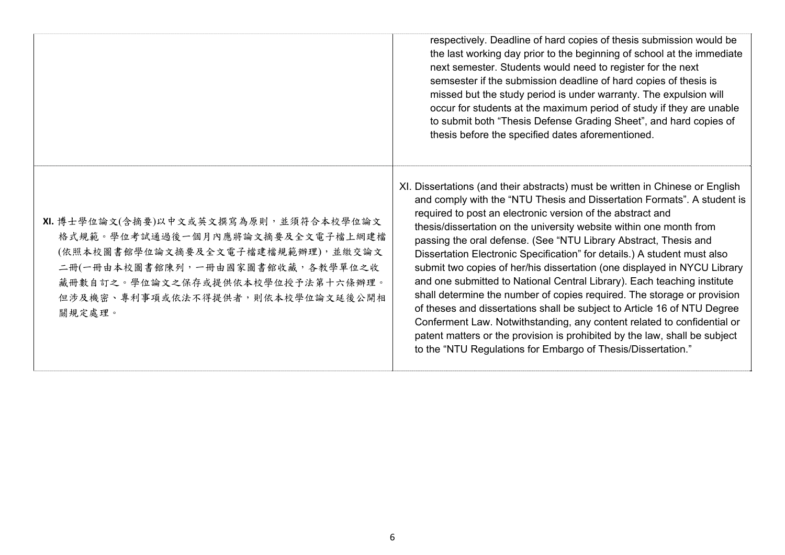|                                                                                                                                                                                                                                      | respectively. Deadline of hard copies of thesis submission would be<br>the last working day prior to the beginning of school at the immediate<br>next semester. Students would need to register for the next<br>semsester if the submission deadline of hard copies of thesis is<br>missed but the study period is under warranty. The expulsion will<br>occur for students at the maximum period of study if they are unable<br>to submit both "Thesis Defense Grading Sheet", and hard copies of<br>thesis before the specified dates aforementioned.                                                                                                                                                                                                                                                                                                                                                                                                                              |
|--------------------------------------------------------------------------------------------------------------------------------------------------------------------------------------------------------------------------------------|--------------------------------------------------------------------------------------------------------------------------------------------------------------------------------------------------------------------------------------------------------------------------------------------------------------------------------------------------------------------------------------------------------------------------------------------------------------------------------------------------------------------------------------------------------------------------------------------------------------------------------------------------------------------------------------------------------------------------------------------------------------------------------------------------------------------------------------------------------------------------------------------------------------------------------------------------------------------------------------|
| XI. 博士學位論文(含摘要)以中文或英文撰寫為原則,並須符合本校學位論文<br>格式規範。學位考試通過後一個月內應將論文摘要及全文電子檔上網建檔<br>(依照本校圖書館學位論文摘要及全文電子檔建檔規範辦理),並繳交論文<br>二冊(一冊由本校圖書館陳列,一冊由國家圖書館收藏,各教學單位之收<br>藏冊數自訂之。學位論文之保存或提供依本校學位授予法第十六條辦理。<br>但涉及機密、專利事項或依法不得提供者,則依本校學位論文延後公開相<br>關規定處理。 | XI. Dissertations (and their abstracts) must be written in Chinese or English<br>and comply with the "NTU Thesis and Dissertation Formats". A student is<br>required to post an electronic version of the abstract and<br>thesis/dissertation on the university website within one month from<br>passing the oral defense. (See "NTU Library Abstract, Thesis and<br>Dissertation Electronic Specification" for details.) A student must also<br>submit two copies of her/his dissertation (one displayed in NYCU Library<br>and one submitted to National Central Library). Each teaching institute<br>shall determine the number of copies required. The storage or provision<br>of theses and dissertations shall be subject to Article 16 of NTU Degree<br>Conferment Law. Notwithstanding, any content related to confidential or<br>patent matters or the provision is prohibited by the law, shall be subject<br>to the "NTU Regulations for Embargo of Thesis/Dissertation." |